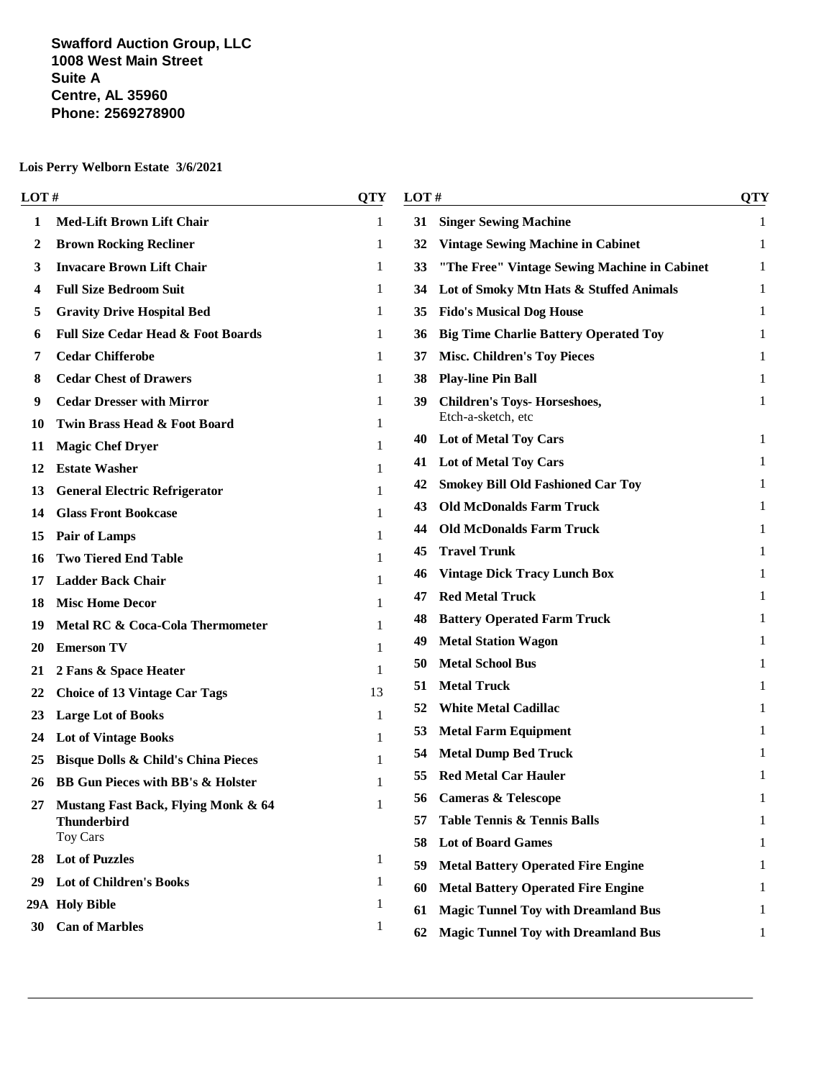#### **Swafford Auction Group, LLC 1008 West Main Street Suite A Centre, AL 35960 Phone: 2569278900**

|    | <b>LOT</b> #                                   |              | LOT#<br><b>QTY</b> |                                              | <b>QTY</b> |
|----|------------------------------------------------|--------------|--------------------|----------------------------------------------|------------|
| 1  | <b>Med-Lift Brown Lift Chair</b>               | 1            | 31                 | <b>Singer Sewing Machine</b>                 | 1          |
| 2  | <b>Brown Rocking Recliner</b>                  | 1            | 32                 | <b>Vintage Sewing Machine in Cabinet</b>     | 1          |
| 3  | <b>Invacare Brown Lift Chair</b>               | 1            | 33                 | "The Free" Vintage Sewing Machine in Cabinet | 1          |
| 4  | <b>Full Size Bedroom Suit</b>                  | 1            | 34                 | Lot of Smoky Mtn Hats & Stuffed Animals      | 1          |
| 5  | <b>Gravity Drive Hospital Bed</b>              | 1            | 35                 | <b>Fido's Musical Dog House</b>              |            |
| 6  | <b>Full Size Cedar Head &amp; Foot Boards</b>  | 1            | 36                 | <b>Big Time Charlie Battery Operated Toy</b> | 1          |
| 7  | <b>Cedar Chifferobe</b>                        | 1            | 37                 | <b>Misc. Children's Toy Pieces</b>           | 1          |
| 8  | <b>Cedar Chest of Drawers</b>                  | 1            | 38                 | <b>Play-line Pin Ball</b>                    | 1          |
| 9  | <b>Cedar Dresser with Mirror</b>               | 1            | 39                 | <b>Children's Toys- Horseshoes,</b>          | 1          |
| 10 | Twin Brass Head & Foot Board                   | 1            |                    | Etch-a-sketch, etc                           |            |
| 11 | <b>Magic Chef Dryer</b>                        | 1            |                    | 40 Lot of Metal Toy Cars                     | 1          |
| 12 | <b>Estate Washer</b>                           | 1            |                    | 41 Lot of Metal Toy Cars                     | 1          |
| 13 | <b>General Electric Refrigerator</b>           | 1            | 42                 | <b>Smokey Bill Old Fashioned Car Toy</b>     |            |
| 14 | <b>Glass Front Bookcase</b>                    | 1            | 43                 | <b>Old McDonalds Farm Truck</b>              |            |
| 15 | <b>Pair of Lamps</b>                           | 1            | 44                 | <b>Old McDonalds Farm Truck</b>              | 1          |
| 16 | <b>Two Tiered End Table</b>                    | 1            | 45                 | <b>Travel Trunk</b>                          |            |
| 17 | <b>Ladder Back Chair</b>                       | 1            | 46                 | <b>Vintage Dick Tracy Lunch Box</b>          |            |
| 18 | <b>Misc Home Decor</b>                         | 1            | 47                 | <b>Red Metal Truck</b>                       | 1          |
| 19 | Metal RC & Coca-Cola Thermometer               |              | 48                 | <b>Battery Operated Farm Truck</b>           | 1          |
| 20 | <b>Emerson TV</b>                              |              | 49                 | <b>Metal Station Wagon</b>                   | 1          |
| 21 | 2 Fans & Space Heater                          | 1            | 50                 | <b>Metal School Bus</b>                      | 1          |
| 22 | <b>Choice of 13 Vintage Car Tags</b>           | 13           | 51                 | <b>Metal Truck</b>                           |            |
| 23 | <b>Large Lot of Books</b>                      | 1            | 52                 | <b>White Metal Cadillac</b>                  | 1          |
| 24 | <b>Lot of Vintage Books</b>                    |              | 53                 | <b>Metal Farm Equipment</b>                  |            |
| 25 | <b>Bisque Dolls &amp; Child's China Pieces</b> |              | 54                 | <b>Metal Dump Bed Truck</b>                  |            |
| 26 | <b>BB Gun Pieces with BB's &amp; Holster</b>   | 1            |                    | <b>Red Metal Car Hauler</b>                  | 1          |
| 27 | Mustang Fast Back, Flying Monk & 64            | $\mathbf{1}$ |                    | 56 Cameras & Telescope                       | л.         |
|    | <b>Thunderbird</b>                             |              | 57                 | <b>Table Tennis &amp; Tennis Balls</b>       | 1          |
|    | Toy Cars                                       |              | 58                 | <b>Lot of Board Games</b>                    | 1          |
| 28 | <b>Lot of Puzzles</b>                          | $\mathbf{1}$ | 59                 | <b>Metal Battery Operated Fire Engine</b>    | 1          |
| 29 | <b>Lot of Children's Books</b>                 | $\mathbf{1}$ | 60                 | <b>Metal Battery Operated Fire Engine</b>    | 1          |
|    | 29A Holy Bible                                 | $\mathbf{1}$ | 61                 | <b>Magic Tunnel Toy with Dreamland Bus</b>   | 1          |
| 30 | <b>Can of Marbles</b>                          | 1            | 62                 | <b>Magic Tunnel Toy with Dreamland Bus</b>   | 1          |
|    |                                                |              |                    |                                              |            |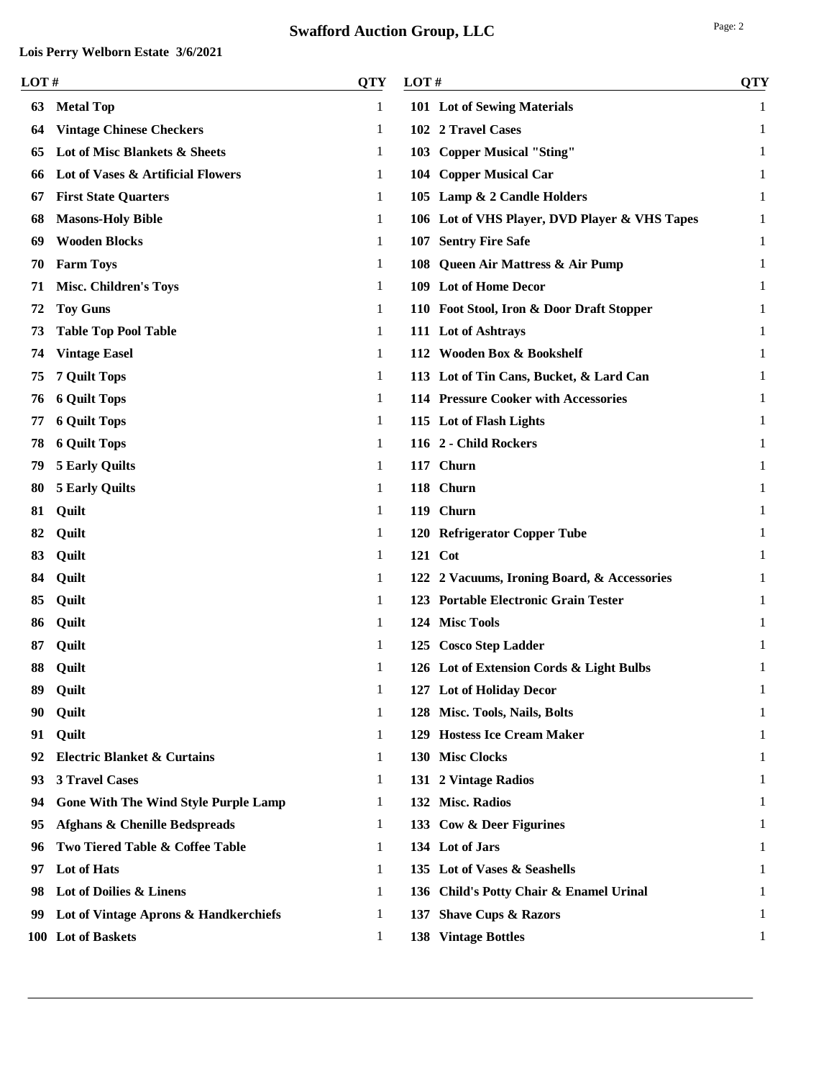|--|--|

| LOT# |                                          | <b>QTY</b> | LOT# |                                               | <b>QTY</b> |
|------|------------------------------------------|------------|------|-----------------------------------------------|------------|
| 63   | <b>Metal Top</b>                         | 1          |      | 101 Lot of Sewing Materials                   | 1          |
| 64   | <b>Vintage Chinese Checkers</b>          | 1          |      | 102 2 Travel Cases                            | 1          |
| 65   | Lot of Misc Blankets & Sheets            | 1          |      | 103 Copper Musical "Sting"                    | 1          |
| 66   | Lot of Vases & Artificial Flowers        | 1          |      | 104 Copper Musical Car                        | 1          |
| 67   | <b>First State Quarters</b>              | 1          |      | 105 Lamp & 2 Candle Holders                   | 1          |
| 68   | <b>Masons-Holy Bible</b>                 | 1          |      | 106 Lot of VHS Player, DVD Player & VHS Tapes | 1          |
| 69   | <b>Wooden Blocks</b>                     | 1          |      | 107 Sentry Fire Safe                          | 1          |
| 70   | <b>Farm Toys</b>                         | 1          |      | 108 Queen Air Mattress & Air Pump             | 1          |
| 71   | <b>Misc. Children's Toys</b>             | 1          |      | 109 Lot of Home Decor                         | 1          |
| 72   | <b>Toy Guns</b>                          | 1          |      | 110 Foot Stool, Iron & Door Draft Stopper     | 1          |
| 73   | <b>Table Top Pool Table</b>              | 1          |      | 111 Lot of Ashtrays                           | 1          |
| 74   | <b>Vintage Easel</b>                     | 1          |      | 112 Wooden Box & Bookshelf                    | 1          |
| 75   | <b>7 Quilt Tops</b>                      | 1          |      | 113 Lot of Tin Cans, Bucket, & Lard Can       | 1          |
| 76   | <b>6 Quilt Tops</b>                      | 1          |      | 114 Pressure Cooker with Accessories          | 1          |
| 77   | <b>6 Quilt Tops</b>                      | 1          |      | 115 Lot of Flash Lights                       | 1          |
| 78   | <b>6 Quilt Tops</b>                      | 1          |      | 116 2 - Child Rockers                         | 1          |
| 79   | <b>5 Early Quilts</b>                    | 1          |      | 117 Churn                                     | 1          |
| 80   | <b>5 Early Quilts</b>                    | 1          |      | 118 Churn                                     | 1          |
| 81   | Quilt                                    | 1          |      | 119 Churn                                     | 1          |
| 82   | Quilt                                    | 1          |      | 120 Refrigerator Copper Tube                  | 1          |
| 83   | Quilt                                    | 1          |      | 121 Cot                                       | 1          |
| 84   | Quilt                                    | 1          |      | 122 2 Vacuums, Ironing Board, & Accessories   | 1          |
| 85   | Quilt                                    | 1          |      | 123 Portable Electronic Grain Tester          | 1          |
| 86   | Quilt                                    | 1          |      | 124 Misc Tools                                | 1          |
|      | Quilt                                    | 1          |      | 125 Cosco Step Ladder                         | 1          |
| 88   | Quilt                                    |            |      | 126 Lot of Extension Cords & Light Bulbs      |            |
| 89   | Quilt                                    | 1          |      | 127 Lot of Holiday Decor                      | 1          |
| 90-  | Quilt                                    | 1          |      | 128 Misc. Tools, Nails, Bolts                 | 1          |
| 91   | Quilt                                    | 1          |      | 129 Hostess Ice Cream Maker                   | 1          |
| 92   | <b>Electric Blanket &amp; Curtains</b>   | 1          |      | 130 Misc Clocks                               | 1          |
| 93   | <b>3 Travel Cases</b>                    | 1          |      | 131 2 Vintage Radios                          | 1          |
| 94   | Gone With The Wind Style Purple Lamp     | 1          |      | 132 Misc. Radios                              | 1          |
| 95   | <b>Afghans &amp; Chenille Bedspreads</b> | 1          |      | 133 Cow & Deer Figurines                      | 1          |
| 96   | Two Tiered Table & Coffee Table          | 1          |      | 134 Lot of Jars                               | 1          |
| 97   | Lot of Hats                              | 1          |      | 135 Lot of Vases & Seashells                  | 1          |
| 98   | Lot of Doilies & Linens                  | 1          |      | 136 Child's Potty Chair & Enamel Urinal       | 1          |
| 99   | Lot of Vintage Aprons & Handkerchiefs    | 1          |      | 137 Shave Cups & Razors                       | 1          |
|      | 100 Lot of Baskets                       | 1          |      | 138 Vintage Bottles                           | 1          |
|      |                                          |            |      |                                               |            |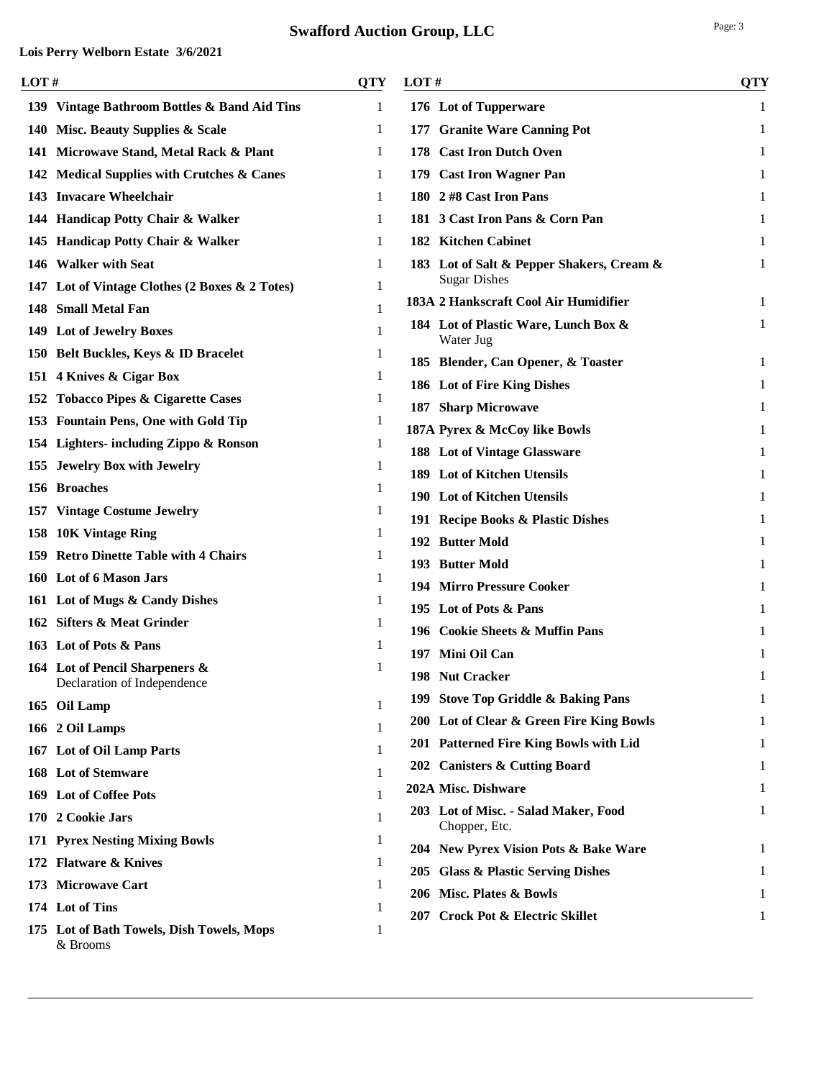| LOT# |                                                       | QTY | LOT#                                                  | <b>QTY</b> |
|------|-------------------------------------------------------|-----|-------------------------------------------------------|------------|
|      | 139 Vintage Bathroom Bottles & Band Aid Tins          | 1   | 176 Lot of Tupperware                                 | 1          |
|      | 140 Misc. Beauty Supplies & Scale                     | 1   | 177 Granite Ware Canning Pot                          | 1          |
|      | 141 Microwave Stand, Metal Rack & Plant               | 1   | 178 Cast Iron Dutch Oven                              | 1          |
|      | 142 Medical Supplies with Crutches & Canes            | 1   | 179 Cast Iron Wagner Pan                              | 1          |
|      | 143 Invacare Wheelchair                               | 1   | 180 2 #8 Cast Iron Pans                               | 1          |
|      | 144 Handicap Potty Chair & Walker                     | 1   | 181 3 Cast Iron Pans & Corn Pan                       | 1          |
|      | 145 Handicap Potty Chair & Walker                     | 1   | 182 Kitchen Cabinet                                   | 1          |
|      | 146 Walker with Seat                                  | 1   | 183 Lot of Salt & Pepper Shakers, Cream &             | 1          |
|      | 147 Lot of Vintage Clothes (2 Boxes & 2 Totes)        | 1   | <b>Sugar Dishes</b>                                   |            |
|      | 148 Small Metal Fan                                   | 1   | 183A 2 Hankscraft Cool Air Humidifier                 | 1          |
|      | 149 Lot of Jewelry Boxes                              | 1   | 184 Lot of Plastic Ware, Lunch Box &<br>Water Jug     | 1          |
|      | 150 Belt Buckles, Keys & ID Bracelet                  | 1   | 185 Blender, Can Opener, & Toaster                    | 1          |
|      | 151 4 Knives & Cigar Box                              |     | 186 Lot of Fire King Dishes                           | 1          |
|      | 152 Tobacco Pipes & Cigarette Cases                   | 1   | 187 Sharp Microwave                                   | 1          |
|      | 153 Fountain Pens, One with Gold Tip                  | 1   | 187A Pyrex & McCoy like Bowls                         | 1          |
|      | 154 Lighters- including Zippo & Ronson                | 1   | 188 Lot of Vintage Glassware                          | 1          |
|      | 155 Jewelry Box with Jewelry                          | 1   | 189 Lot of Kitchen Utensils                           |            |
|      | 156 Broaches                                          | 1   | 190 Lot of Kitchen Utensils                           | 1          |
|      | 157 Vintage Costume Jewelry                           | 1   | 191 Recipe Books & Plastic Dishes                     | 1          |
|      | 158 10K Vintage Ring                                  | 1   | 192 Butter Mold                                       | 1          |
|      | 159 Retro Dinette Table with 4 Chairs                 | 1   | 193 Butter Mold                                       | 1          |
|      | 160 Lot of 6 Mason Jars                               | 1   | <b>194 Mirro Pressure Cooker</b>                      | 1          |
|      | 161 Lot of Mugs & Candy Dishes                        | 1   | 195 Lot of Pots & Pans                                | 1          |
|      | 162 Sifters & Meat Grinder                            | 1   | 196 Cookie Sheets & Muffin Pans                       | 1          |
|      | 163 Lot of Pots & Pans                                |     | 197 Mini Oil Can                                      | 1          |
|      | 164 Lot of Pencil Sharpeners &                        | 1   | 198 Nut Cracker                                       | 1          |
|      | Declaration of Independence                           |     | 199 Stove Top Griddle & Baking Pans                   | 1          |
|      | 165 Oil Lamp                                          | 1   | 200 Lot of Clear & Green Fire King Bowls              | 1          |
|      | 166 2 Oil Lamps                                       | 1   | 201 Patterned Fire King Bowls with Lid                | 1          |
|      | 167 Lot of Oil Lamp Parts                             |     | 202 Canisters & Cutting Board                         | 1          |
|      | 168 Lot of Stemware                                   | 1   | 202A Misc. Dishware                                   |            |
|      | 169 Lot of Coffee Pots                                | 1   |                                                       | 1          |
|      | 170 2 Cookie Jars                                     | 1   | 203 Lot of Misc. - Salad Maker, Food<br>Chopper, Etc. | 1          |
|      | 171 Pyrex Nesting Mixing Bowls                        | 1   | 204 New Pyrex Vision Pots & Bake Ware                 |            |
|      | 172 Flatware & Knives                                 | 1   | 205 Glass & Plastic Serving Dishes                    | 1          |
|      | 173 Microwave Cart                                    |     | 206 Misc. Plates & Bowls                              | 1          |
|      | 174 Lot of Tins                                       |     | 207 Crock Pot & Electric Skillet                      | 1          |
|      | 175 Lot of Bath Towels, Dish Towels, Mops<br>& Brooms | 1   |                                                       |            |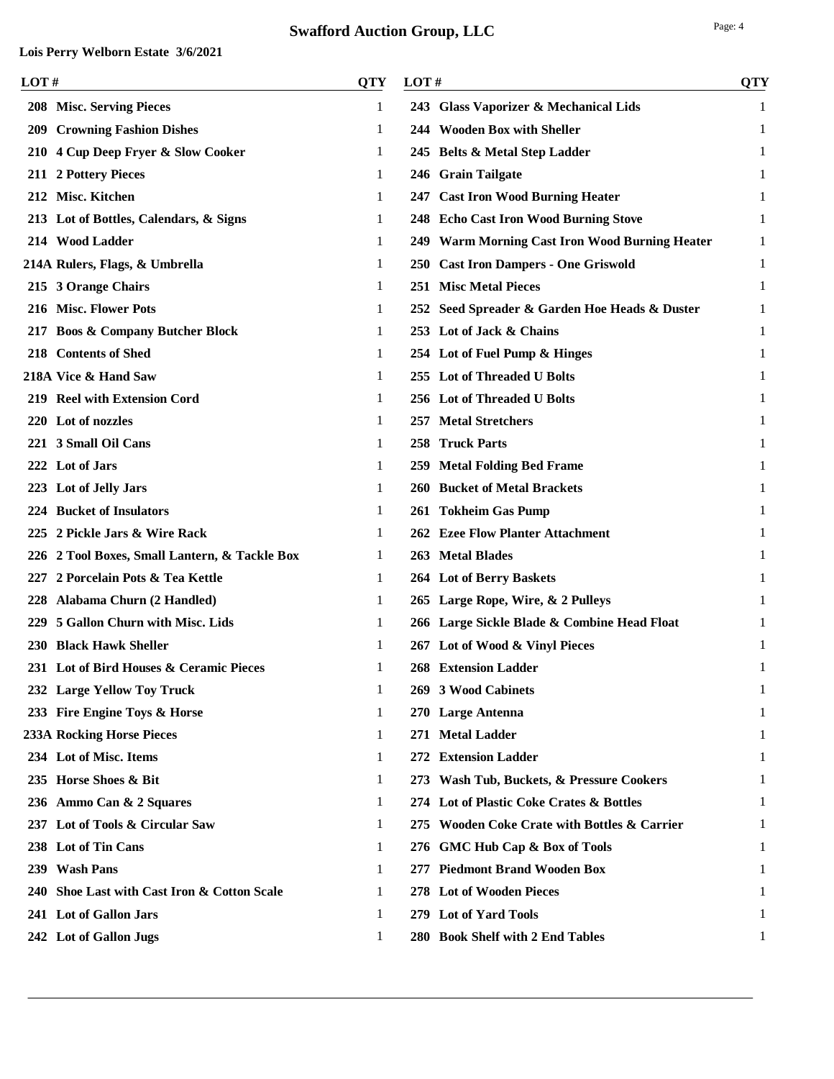| LOT# |                                               | <b>QTY</b> | LOT# |                                                | <b>QTY</b>   |
|------|-----------------------------------------------|------------|------|------------------------------------------------|--------------|
|      | 208 Misc. Serving Pieces                      | 1          |      | 243 Glass Vaporizer & Mechanical Lids          | 1            |
|      | <b>209 Crowning Fashion Dishes</b>            | 1          |      | 244 Wooden Box with Sheller                    | 1            |
|      | 210 4 Cup Deep Fryer & Slow Cooker            | 1          |      | 245 Belts & Metal Step Ladder                  | $\mathbf{1}$ |
|      | 211 2 Pottery Pieces                          | 1          |      | 246 Grain Tailgate                             | 1            |
|      | 212 Misc. Kitchen                             | 1          |      | 247 Cast Iron Wood Burning Heater              | 1            |
|      | 213 Lot of Bottles, Calendars, & Signs        | 1          |      | 248 Echo Cast Iron Wood Burning Stove          | 1            |
|      | 214 Wood Ladder                               | 1          |      | 249 Warm Morning Cast Iron Wood Burning Heater | 1            |
|      | 214A Rulers, Flags, & Umbrella                | 1          |      | 250 Cast Iron Dampers - One Griswold           | 1            |
|      | 215 3 Orange Chairs                           | 1          |      | <b>251 Misc Metal Pieces</b>                   | 1            |
|      | 216 Misc. Flower Pots                         | 1          |      | 252 Seed Spreader & Garden Hoe Heads & Duster  | 1            |
|      | 217 Boos & Company Butcher Block              | 1          |      | 253 Lot of Jack & Chains                       | 1            |
|      | 218 Contents of Shed                          | 1          |      | 254 Lot of Fuel Pump & Hinges                  | 1            |
|      | 218A Vice & Hand Saw                          | 1          |      | 255 Lot of Threaded U Bolts                    | 1            |
|      | 219 Reel with Extension Cord                  | 1          |      | 256 Lot of Threaded U Bolts                    | 1            |
|      | 220 Lot of nozzles                            | 1          |      | 257 Metal Stretchers                           | 1            |
|      | 221 3 Small Oil Cans                          | 1          |      | 258 Truck Parts                                | 1            |
|      | 222 Lot of Jars                               | 1          |      | 259 Metal Folding Bed Frame                    | 1            |
|      | 223 Lot of Jelly Jars                         | 1          |      | 260 Bucket of Metal Brackets                   | 1            |
|      | 224 Bucket of Insulators                      | 1          |      | 261 Tokheim Gas Pump                           | 1            |
|      | 225 2 Pickle Jars & Wire Rack                 | 1          |      | 262 Ezee Flow Planter Attachment               | 1            |
|      | 226 2 Tool Boxes, Small Lantern, & Tackle Box | 1          |      | 263 Metal Blades                               | 1            |
|      | 227 2 Porcelain Pots & Tea Kettle             | 1          |      | 264 Lot of Berry Baskets                       | 1            |
|      | 228 Alabama Churn (2 Handled)                 | 1          |      | 265 Large Rope, Wire, & 2 Pulleys              | 1            |
|      | 229 5 Gallon Churn with Misc. Lids            | 1          |      | 266 Large Sickle Blade & Combine Head Float    | 1            |
|      | 230 Black Hawk Sheller                        | 1          |      | 267 Lot of Wood & Vinyl Pieces                 | 1            |
|      | 231 Lot of Bird Houses & Ceramic Pieces       | 1          |      | <b>268 Extension Ladder</b>                    | 1            |
|      | 232 Large Yellow Toy Truck                    | 1          |      | 269 3 Wood Cabinets                            | $\mathbf{1}$ |
|      | 233 Fire Engine Toys & Horse                  | 1          |      | 270 Large Antenna                              | 1            |
|      | <b>233A Rocking Horse Pieces</b>              | 1          |      | 271 Metal Ladder                               | 1            |
|      | 234 Lot of Misc. Items                        | 1          |      | 272 Extension Ladder                           | 1            |
|      | 235 Horse Shoes & Bit                         | 1          |      | 273 Wash Tub, Buckets, & Pressure Cookers      | 1            |
|      | 236 Ammo Can & 2 Squares                      | 1          |      | 274 Lot of Plastic Coke Crates & Bottles       | 1            |
|      | 237 Lot of Tools & Circular Saw               | 1          |      | 275 Wooden Coke Crate with Bottles & Carrier   | 1            |
|      | 238 Lot of Tin Cans                           | 1          |      | 276 GMC Hub Cap & Box of Tools                 | 1            |
|      | 239 Wash Pans                                 | 1          |      | 277 Piedmont Brand Wooden Box                  | 1            |
|      | 240 Shoe Last with Cast Iron & Cotton Scale   | 1          |      | 278 Lot of Wooden Pieces                       | 1            |
|      | 241 Lot of Gallon Jars                        | 1          |      | 279 Lot of Yard Tools                          |              |
|      | 242 Lot of Gallon Jugs                        | 1          |      | 280 Book Shelf with 2 End Tables               | 1            |
|      |                                               |            |      |                                                |              |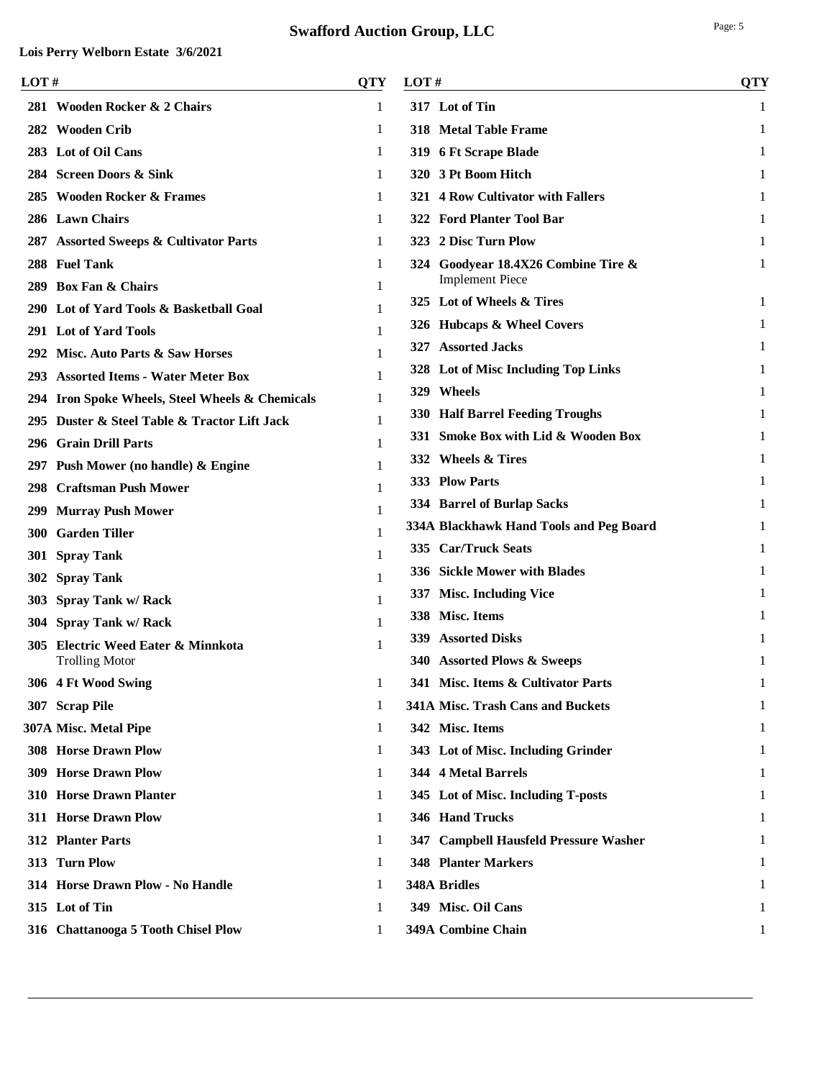| LOT# |                                                 | QTY | LOT#                                    | <b>QTY</b> |
|------|-------------------------------------------------|-----|-----------------------------------------|------------|
|      | 281 Wooden Rocker & 2 Chairs                    | 1   | 317 Lot of Tin                          | 1          |
|      | 282 Wooden Crib                                 | 1   | 318 Metal Table Frame                   | 1          |
|      | 283 Lot of Oil Cans                             | 1   | 319 6 Ft Scrape Blade                   |            |
|      | 284 Screen Doors & Sink                         | 1   | 320 3 Pt Boom Hitch                     |            |
|      | 285 Wooden Rocker & Frames                      | 1   | 321 4 Row Cultivator with Fallers       |            |
|      | 286 Lawn Chairs                                 | 1   | 322 Ford Planter Tool Bar               | 1          |
|      | 287 Assorted Sweeps & Cultivator Parts          | 1   | 323 2 Disc Turn Plow                    |            |
|      | 288 Fuel Tank                                   | 1   | 324 Goodyear 18.4X26 Combine Tire &     | 1          |
|      | 289 Box Fan & Chairs                            | 1   | <b>Implement Piece</b>                  |            |
|      | 290 Lot of Yard Tools & Basketball Goal         |     | 325 Lot of Wheels & Tires               | 1          |
|      | 291 Lot of Yard Tools                           | 1   | 326 Hubcaps & Wheel Covers              |            |
|      | 292 Misc. Auto Parts & Saw Horses               |     | 327 Assorted Jacks                      |            |
|      | 293 Assorted Items - Water Meter Box            |     | 328 Lot of Misc Including Top Links     |            |
|      | 294 Iron Spoke Wheels, Steel Wheels & Chemicals |     | 329 Wheels                              | 1          |
|      | 295 Duster & Steel Table & Tractor Lift Jack    |     | 330 Half Barrel Feeding Troughs         | 1          |
|      | 296 Grain Drill Parts                           |     | 331 Smoke Box with Lid & Wooden Box     |            |
|      | 297 Push Mower (no handle) & Engine             |     | 332 Wheels & Tires                      | 1          |
|      | 298 Craftsman Push Mower                        |     | 333 Plow Parts                          | 1          |
|      | 299 Murray Push Mower                           | 1   | 334 Barrel of Burlap Sacks              |            |
|      | <b>300 Garden Tiller</b>                        |     | 334A Blackhawk Hand Tools and Peg Board |            |
|      | 301 Spray Tank                                  |     | 335 Car/Truck Seats                     |            |
|      | 302 Spray Tank                                  |     | 336 Sickle Mower with Blades            | 1          |
|      | 303 Spray Tank w/ Rack                          |     | 337 Misc. Including Vice                |            |
|      | 304 Spray Tank w/ Rack                          |     | 338 Misc. Items                         |            |
|      | 305 Electric Weed Eater & Minnkota              |     | 339 Assorted Disks                      |            |
|      | <b>Trolling Motor</b>                           |     | 340 Assorted Plows & Sweeps             | 1          |
|      | 306 4 Ft Wood Swing                             | 1   | 341 Misc. Items & Cultivator Parts      | 1          |
|      | 307 Scrap Pile                                  | 1   | 341A Misc. Trash Cans and Buckets       | 1          |
|      | 307A Misc. Metal Pipe                           | 1   | 342 Misc. Items                         | 1          |
|      | <b>308 Horse Drawn Plow</b>                     | 1   | 343 Lot of Misc. Including Grinder      | 1          |
|      | <b>309 Horse Drawn Plow</b>                     | 1   | 344 4 Metal Barrels                     |            |
|      | 310 Horse Drawn Planter                         | 1   | 345 Lot of Misc. Including T-posts      |            |
|      | 311 Horse Drawn Plow                            | 1   | 346 Hand Trucks                         |            |
|      | 312 Planter Parts                               | 1   | 347 Campbell Hausfeld Pressure Washer   | 1          |
|      | 313 Turn Plow                                   | 1   | <b>348 Planter Markers</b>              | 1          |
|      | 314 Horse Drawn Plow - No Handle                | 1   | <b>348A Bridles</b>                     | 1          |
|      | 315 Lot of Tin                                  | 1   | 349 Misc. Oil Cans                      | 1          |
|      | 316 Chattanooga 5 Tooth Chisel Plow             | 1   | 349A Combine Chain                      | 1          |